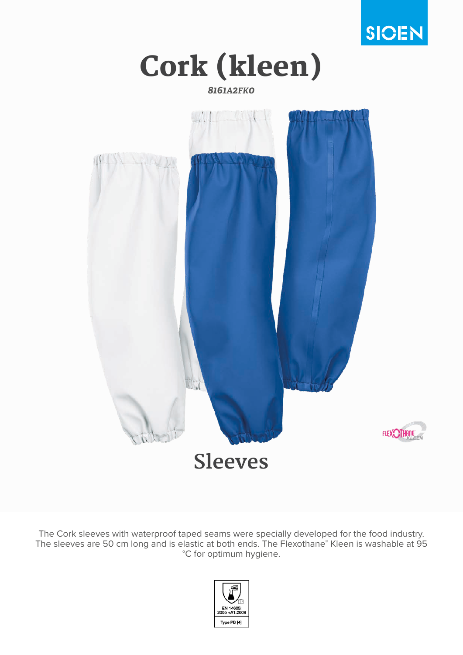

Cork (kleen)

*8161A2FK0*



The Cork sleeves with waterproof taped seams were specially developed for the food industry. The sleeves are 50 cm long and is elastic at both ends. The Flexothane® Kleen is washable at 95 °C for optimum hygiene.